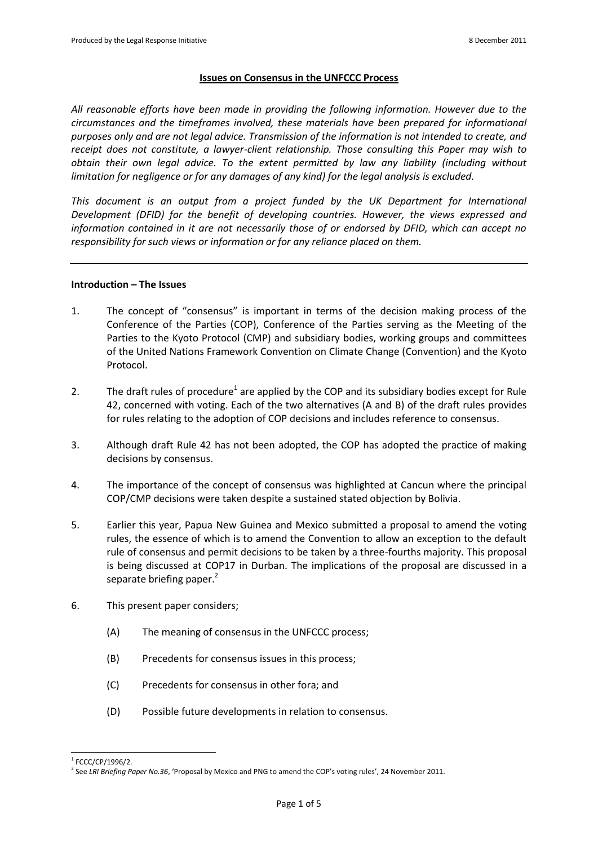# **Issues on Consensus in the UNFCCC Process**

*All reasonable efforts have been made in providing the following information. However due to the circumstances and the timeframes involved, these materials have been prepared for informational purposes only and are not legal advice. Transmission of the information is not intended to create, and receipt does not constitute, a lawyer-client relationship. Those consulting this Paper may wish to obtain their own legal advice. To the extent permitted by law any liability (including without limitation for negligence or for any damages of any kind) for the legal analysis is excluded.*

*This document is an output from a project funded by the UK Department for International Development (DFID) for the benefit of developing countries. However, the views expressed and information contained in it are not necessarily those of or endorsed by DFID, which can accept no responsibility for such views or information or for any reliance placed on them.*

### **Introduction – The Issues**

- 1. The concept of "consensus" is important in terms of the decision making process of the Conference of the Parties (COP), Conference of the Parties serving as the Meeting of the Parties to the Kyoto Protocol (CMP) and subsidiary bodies, working groups and committees of the United Nations Framework Convention on Climate Change (Convention) and the Kyoto Protocol.
- 2. The draft rules of procedure<sup>1</sup> are applied by the COP and its subsidiary bodies except for Rule 42, concerned with voting. Each of the two alternatives (A and B) of the draft rules provides for rules relating to the adoption of COP decisions and includes reference to consensus.
- 3. Although draft Rule 42 has not been adopted, the COP has adopted the practice of making decisions by consensus.
- 4. The importance of the concept of consensus was highlighted at Cancun where the principal COP/CMP decisions were taken despite a sustained stated objection by Bolivia.
- 5. Earlier this year, Papua New Guinea and Mexico submitted a proposal to amend the voting rules, the essence of which is to amend the Convention to allow an exception to the default rule of consensus and permit decisions to be taken by a three-fourths majority. This proposal is being discussed at COP17 in Durban. The implications of the proposal are discussed in a separate briefing paper.<sup>2</sup>
- <span id="page-0-0"></span>6. This present paper considers;
	- (A) The meaning of consensus in the UNFCCC process;
	- (B) Precedents for consensus issues in this process;
	- (C) Precedents for consensus in other fora; and
	- (D) Possible future developments in relation to consensus.

  $1$  FCCC/CP/1996/2.

<sup>2</sup> See *LRI Briefing Paper No.36*, 'Proposal by Mexico and PNG to amend the COP's voting rules', 24 November 2011.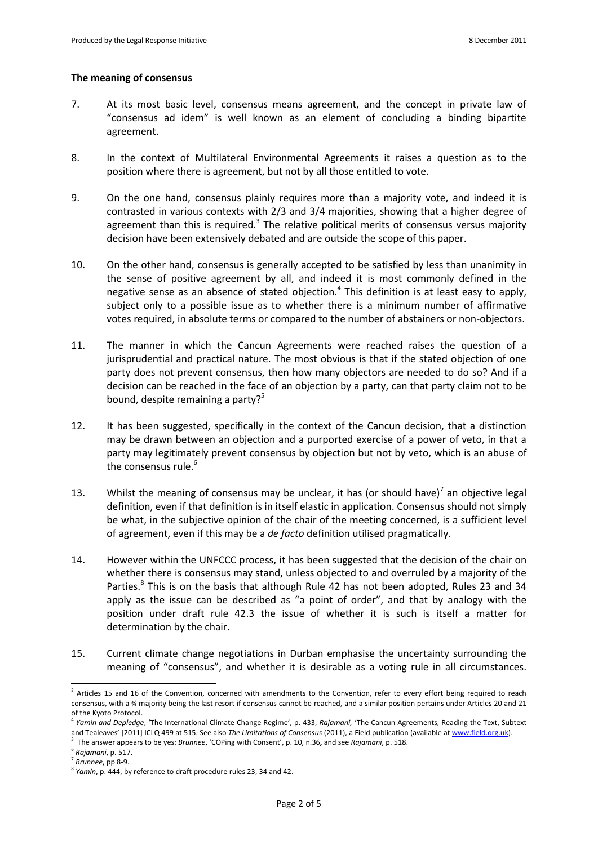### **The meaning of consensus**

- 7. At its most basic level, consensus means agreement, and the concept in private law of "consensus ad idem" is well known as an element of concluding a binding bipartite agreement.
- 8. In the context of Multilateral Environmental Agreements it raises a question as to the position where there is agreement, but not by all those entitled to vote.
- 9. On the one hand, consensus plainly requires more than a majority vote, and indeed it is contrasted in various contexts with 2/3 and 3/4 majorities, showing that a higher degree of agreement than this is required. $3$  The relative political merits of consensus versus majority decision have been extensively debated and are outside the scope of this paper.
- 10. On the other hand, consensus is generally accepted to be satisfied by less than unanimity in the sense of positive agreement by all, and indeed it is most commonly defined in the negative sense as an absence of stated objection.<sup>4</sup> This definition is at least easy to apply, subject only to a possible issue as to whether there is a minimum number of affirmative votes required, in absolute terms or compared to the number of abstainers or non-objectors.
- 11. The manner in which the Cancun Agreements were reached raises the question of a jurisprudential and practical nature. The most obvious is that if the stated objection of one party does not prevent consensus, then how many objectors are needed to do so? And if a decision can be reached in the face of an objection by a party, can that party claim not to be bound, despite remaining a party?<sup>5</sup>
- 12. It has been suggested, specifically in the context of the Cancun decision, that a distinction may be drawn between an objection and a purported exercise of a power of veto, in that a party may legitimately prevent consensus by objection but not by veto, which is an abuse of the consensus rule.<sup>6</sup>
- 13. Whilst the meaning of consensus may be unclear, it has (or should have)<sup>7</sup> an objective legal definition, even if that definition is in itself elastic in application. Consensus should not simply be what, in the subjective opinion of the chair of the meeting concerned, is a sufficient level of agreement, even if this may be a *de facto* definition utilised pragmatically.
- 14. However within the UNFCCC process, it has been suggested that the decision of the chair on whether there is consensus may stand, unless objected to and overruled by a majority of the Parties.<sup>8</sup> This is on the basis that although Rule 42 has not been adopted, Rules 23 and 34 apply as the issue can be described as "a point of order", and that by analogy with the position under draft rule 42.3 the issue of whether it is such is itself a matter for determination by the chair.
- 15. Current climate change negotiations in Durban emphasise the uncertainty surrounding the meaning of "consensus", and whether it is desirable as a voting rule in all circumstances.

 $\overline{a}$ 

<sup>&</sup>lt;sup>3</sup> Articles 15 and 16 of the Convention, concerned with amendments to the Convention, refer to every effort being required to reach consensus, with a ¾ majority being the last resort if consensus cannot be reached, and a similar position pertains under Articles 20 and 21 of the Kyoto Protocol.

<sup>4</sup> *Yamin and Depledge*, 'The International Climate Change Regime', p. 433, *Rajamani,* 'The Cancun Agreements, Reading the Text, Subtext and Tealeaves' [2011] ICLQ 499 at 515. See also *The Limitations of Consensus* (2011), a Field publication (available a[t www.field.org.uk\)](http://www.field.org.uk/).

<sup>5</sup> The answer appears to be yes: *Brunnee*, 'COPing with Consent', p. 10, n.36**,** and see *Rajamani*, p. 518.

<sup>6</sup> *Rajamani*, p. 517.

<sup>7</sup> *Brunnee*, pp 8-9.

<sup>8</sup> *Yamin*, p. 444, by reference to draft procedure rules 23, 34 and 42.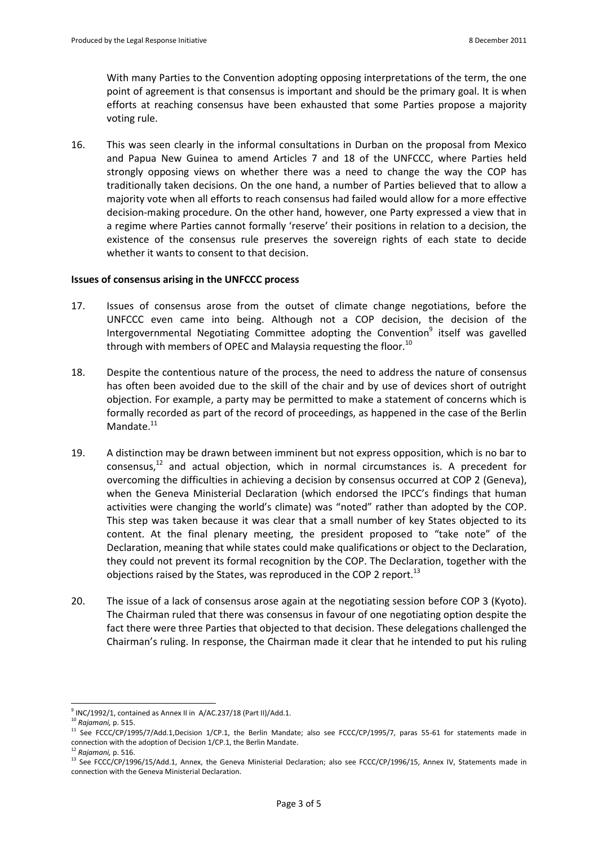With many Parties to the Convention adopting opposing interpretations of the term, the one point of agreement is that consensus is important and should be the primary goal. It is when efforts at reaching consensus have been exhausted that some Parties propose a majority voting rule.

16. This was seen clearly in the informal consultations in Durban on the proposal from Mexico and Papua New Guinea to amend Articles 7 and 18 of the UNFCCC, where Parties held strongly opposing views on whether there was a need to change the way the COP has traditionally taken decisions. On the one hand, a number of Parties believed that to allow a majority vote when all efforts to reach consensus had failed would allow for a more effective decision-making procedure. On the other hand, however, one Party expressed a view that in a regime where Parties cannot formally 'reserve' their positions in relation to a decision, the existence of the consensus rule preserves the sovereign rights of each state to decide whether it wants to consent to that decision.

# **Issues of consensus arising in the UNFCCC process**

- 17. Issues of consensus arose from the outset of climate change negotiations, before the UNFCCC even came into being. Although not a COP decision, the decision of the Intergovernmental Negotiating Committee adopting the Convention<sup>9</sup> itself was gavelled through with members of OPEC and Malaysia requesting the floor.<sup>10</sup>
- 18. Despite the contentious nature of the process, the need to address the nature of consensus has often been avoided due to the skill of the chair and by use of devices short of outright objection. For example, a party may be permitted to make a statement of concerns which is formally recorded as part of the record of proceedings, as happened in the case of the Berlin Mandate.<sup>11</sup>
- 19. A distinction may be drawn between imminent but not express opposition, which is no bar to consensus, $12$  and actual objection, which in normal circumstances is. A precedent for overcoming the difficulties in achieving a decision by consensus occurred at COP 2 (Geneva), when the Geneva Ministerial Declaration (which endorsed the IPCC's findings that human activities were changing the world's climate) was "noted" rather than adopted by the COP. This step was taken because it was clear that a small number of key States objected to its content. At the final plenary meeting, the president proposed to "take note" of the Declaration, meaning that while states could make qualifications or object to the Declaration, they could not prevent its formal recognition by the COP. The Declaration, together with the objections raised by the States, was reproduced in the COP 2 report.<sup>13</sup>
- 20. The issue of a lack of consensus arose again at the negotiating session before COP 3 (Kyoto). The Chairman ruled that there was consensus in favour of one negotiating option despite the fact there were three Parties that objected to that decision. These delegations challenged the Chairman's ruling. In response, the Chairman made it clear that he intended to put his ruling

  $^9$  INC/1992/1, contained as Annex II in A/AC.237/18 (Part II)/Add.1.

<sup>10</sup> *Rajamani,* p. 515.

 $11$  See FCCC/CP/1995/7/Add.1,Decision 1/CP.1, the Berlin Mandate; also see FCCC/CP/1995/7, paras 55-61 for statements made in connection with the adoption of Decision 1/CP.1, the Berlin Mandate.

<sup>12</sup> *Rajamani,* p. 516.

<sup>13</sup> See FCCC/CP/1996/15/Add.1, Annex, the Geneva Ministerial Declaration; also see FCCC/CP/1996/15, Annex IV, Statements made in connection with the Geneva Ministerial Declaration.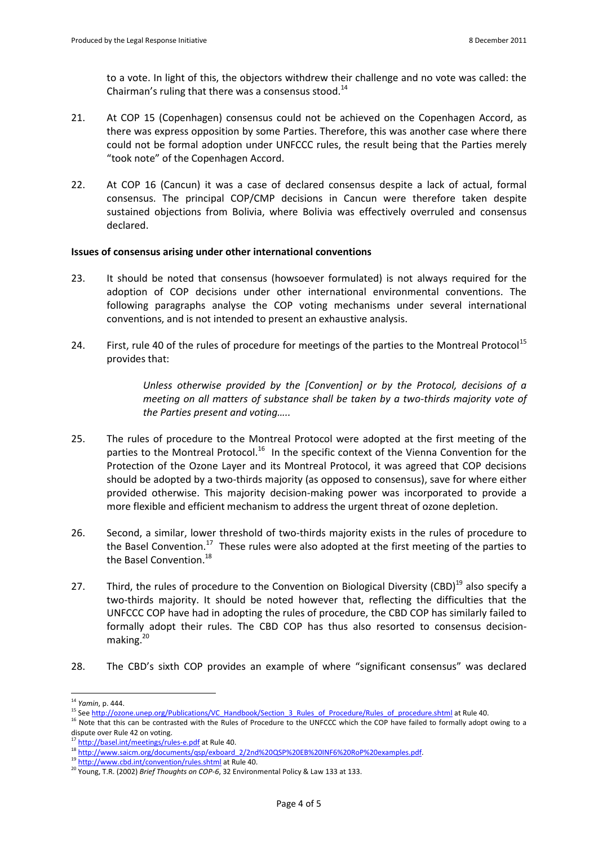to a vote. In light of this, the objectors withdrew their challenge and no vote was called: the Chairman's ruling that there was a consensus stood. $^{14}$ 

- 21. At COP 15 (Copenhagen) consensus could not be achieved on the Copenhagen Accord, as there was express opposition by some Parties. Therefore, this was another case where there could not be formal adoption under UNFCCC rules, the result being that the Parties merely "took note" of the Copenhagen Accord.
- 22. At COP 16 (Cancun) it was a case of declared consensus despite a lack of actual, formal consensus. The principal COP/CMP decisions in Cancun were therefore taken despite sustained objections from Bolivia, where Bolivia was effectively overruled and consensus declared.

## **Issues of consensus arising under other international conventions**

- 23. It should be noted that consensus (howsoever formulated) is not always required for the adoption of COP decisions under other international environmental conventions. The following paragraphs analyse the COP voting mechanisms under several international conventions, and is not intended to present an exhaustive analysis.
- 24. First, rule 40 of the rules of procedure for meetings of the parties to the Montreal Protocol<sup>15</sup> provides that:

*Unless otherwise provided by the [Convention] or by the Protocol, decisions of a meeting on all matters of substance shall be taken by a two-thirds majority vote of the Parties present and voting…..*

- 25. The rules of procedure to the Montreal Protocol were adopted at the first meeting of the parties to the Montreal Protocol.<sup>16</sup> In the specific context of the Vienna Convention for the Protection of the Ozone Layer and its Montreal Protocol, it was agreed that COP decisions should be adopted by a two-thirds majority (as opposed to consensus), save for where either provided otherwise. This majority decision-making power was incorporated to provide a more flexible and efficient mechanism to address the urgent threat of ozone depletion.
- 26. Second, a similar, lower threshold of two-thirds majority exists in the rules of procedure to the Basel Convention.<sup>17</sup> These rules were also adopted at the first meeting of the parties to the Basel Convention.<sup>18</sup>
- 27. Third, the rules of procedure to the Convention on Biological Diversity (CBD)<sup>19</sup> also specify a two-thirds majority. It should be noted however that, reflecting the difficulties that the UNFCCC COP have had in adopting the rules of procedure, the CBD COP has similarly failed to formally adopt their rules. The CBD COP has thus also resorted to consensus decisionmaking. $^{20}$
- 28. The CBD's sixth COP provides an example of where "significant consensus" was declared

 $\overline{a}$ <sup>14</sup> *Yamin*, p. 444.

<sup>&</sup>lt;sup>15</sup> Se[e http://ozone.unep.org/Publications/VC\\_Handbook/Section\\_3\\_Rules\\_of\\_Procedure/Rules\\_of\\_procedure.shtml](http://ozone.unep.org/Publications/VC_Handbook/Section_3_Rules_of_Procedure/Rules_of_procedure.shtml) at Rule 40.

<sup>&</sup>lt;sup>16</sup> Note that this can be contrasted with the Rules of Procedure to the UNFCCC which the COP have failed to formally adopt owing to a dispute over Rule 42 on voting.

<sup>&</sup>lt;sup>17</sup> <http://basel.int/meetings/rules-e.pdf> at Rule 40.

<sup>18</sup> [http://www.saicm.org/documents/qsp/exboard\\_2/2nd%20QSP%20EB%20INF6%20RoP%20examples.pdf.](http://www.saicm.org/documents/qsp/exboard_2/2nd%20QSP%20EB%20INF6%20RoP%20examples.pdf)

<sup>&</sup>lt;sup>19</sup> <http://www.cbd.int/convention/rules.shtml> at Rule 40.

<sup>20</sup> Young, T.R. (2002) *Brief Thoughts on COP-6*, 32 Environmental Policy & Law 133 at 133.